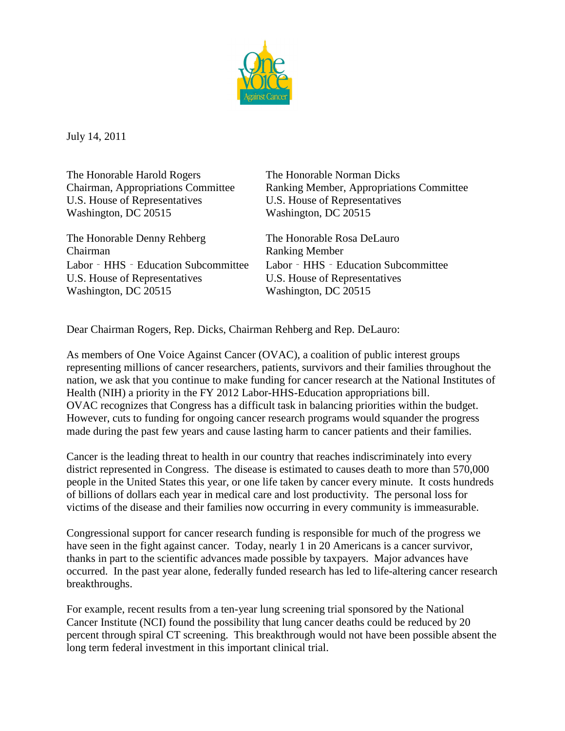

July 14, 2011

The Honorable Harold Rogers The Honorable Norman Dicks U.S. House of Representatives U.S. House of Representatives Washington, DC 20515 Washington, DC 20515

The Honorable Denny Rehberg The Honorable Rosa DeLauro Chairman Ranking Member Labor - HHS - Education Subcommittee Labor - HHS - Education Subcommittee U.S. House of Representatives U.S. House of Representatives Washington, DC 20515 Washington, DC 20515

Chairman, Appropriations Committee Ranking Member, Appropriations Committee

Dear Chairman Rogers, Rep. Dicks, Chairman Rehberg and Rep. DeLauro:

As members of One Voice Against Cancer (OVAC), a coalition of public interest groups representing millions of cancer researchers, patients, survivors and their families throughout the nation, we ask that you continue to make funding for cancer research at the National Institutes of Health (NIH) a priority in the FY 2012 Labor-HHS-Education appropriations bill. OVAC recognizes that Congress has a difficult task in balancing priorities within the budget. However, cuts to funding for ongoing cancer research programs would squander the progress made during the past few years and cause lasting harm to cancer patients and their families.

Cancer is the leading threat to health in our country that reaches indiscriminately into every district represented in Congress. The disease is estimated to causes death to more than 570,000 people in the United States this year, or one life taken by cancer every minute. It costs hundreds of billions of dollars each year in medical care and lost productivity. The personal loss for victims of the disease and their families now occurring in every community is immeasurable.

Congressional support for cancer research funding is responsible for much of the progress we have seen in the fight against cancer. Today, nearly 1 in 20 Americans is a cancer survivor, thanks in part to the scientific advances made possible by taxpayers. Major advances have occurred. In the past year alone, federally funded research has led to life-altering cancer research breakthroughs.

For example, recent results from a ten-year lung screening trial sponsored by the National Cancer Institute (NCI) found the possibility that lung cancer deaths could be reduced by 20 percent through spiral CT screening. This breakthrough would not have been possible absent the long term federal investment in this important clinical trial.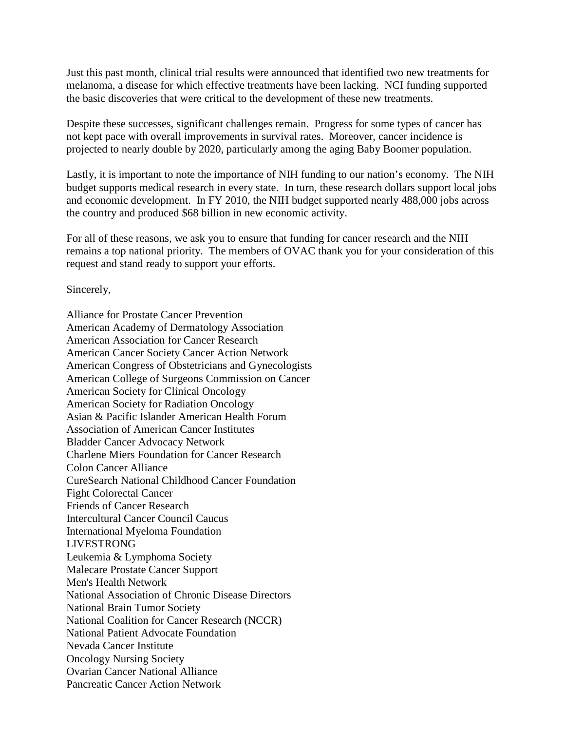Just this past month, clinical trial results were announced that identified two new treatments for melanoma, a disease for which effective treatments have been lacking. NCI funding supported the basic discoveries that were critical to the development of these new treatments.

Despite these successes, significant challenges remain. Progress for some types of cancer has not kept pace with overall improvements in survival rates. Moreover, cancer incidence is projected to nearly double by 2020, particularly among the aging Baby Boomer population.

Lastly, it is important to note the importance of NIH funding to our nation's economy. The NIH budget supports medical research in every state. In turn, these research dollars support local jobs and economic development. In FY 2010, the NIH budget supported nearly 488,000 jobs across the country and produced \$68 billion in new economic activity.

For all of these reasons, we ask you to ensure that funding for cancer research and the NIH remains a top national priority. The members of OVAC thank you for your consideration of this request and stand ready to support your efforts.

Sincerely,

Alliance for Prostate Cancer Prevention American Academy of Dermatology Association American Association for Cancer Research American Cancer Society Cancer Action Network American Congress of Obstetricians and Gynecologists American College of Surgeons Commission on Cancer American Society for Clinical Oncology American Society for Radiation Oncology Asian & Pacific Islander American Health Forum Association of American Cancer Institutes Bladder Cancer Advocacy Network Charlene Miers Foundation for Cancer Research Colon Cancer Alliance CureSearch National Childhood Cancer Foundation Fight Colorectal Cancer Friends of Cancer Research Intercultural Cancer Council Caucus International Myeloma Foundation LIVESTRONG Leukemia & Lymphoma Society Malecare Prostate Cancer Support Men's Health Network National Association of Chronic Disease Directors National Brain Tumor Society National Coalition for Cancer Research (NCCR) National Patient Advocate Foundation Nevada Cancer Institute Oncology Nursing Society Ovarian Cancer National Alliance Pancreatic Cancer Action Network